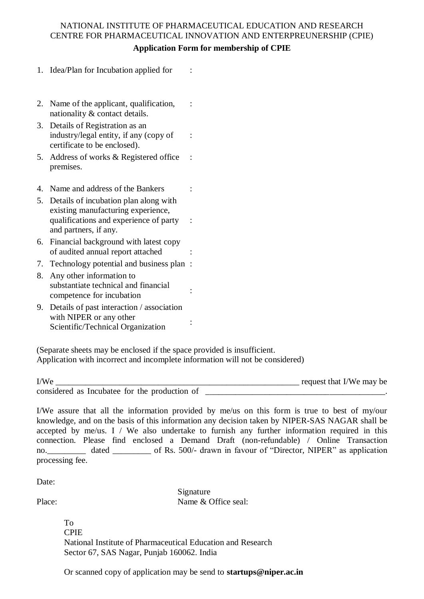## NATIONAL INSTITUTE OF PHARMACEUTICAL EDUCATION AND RESEARCH CENTRE FOR PHARMACEUTICAL INNOVATION AND ENTERPREUNERSHIP (CPIE)

| <b>Application Form for membership of CPIE</b> |  |  |
|------------------------------------------------|--|--|
|------------------------------------------------|--|--|

:

:

:

:

- 1. Idea/Plan for Incubation applied for :
- 2. Name of the applicant, qualification, nationality & contact details.
- 3. Details of Registration as an industry/legal entity, if any (copy of certificate to be enclosed).
- 5. Address of works & Registered office premises.
- 4. Name and address of the Bankers :
- 5. Details of incubation plan along with existing manufacturing experience, qualifications and experience of party and partners, if any.
- 6. Financial background with latest copy of audited annual report attached :
- 7. Technology potential and business plan :
- 8. Any other information to substantiate technical and financial substantiate technical and matches
- 9. Details of past interaction / association with NIPER or any other Scientific/Technical Organization

(Separate sheets may be enclosed if the space provided is insufficient. Application with incorrect and incomplete information will not be considered)

| I/We                                         | request that I/We may be |
|----------------------------------------------|--------------------------|
| considered as Incubate for the production of |                          |

I/We assure that all the information provided by me/us on this form is true to best of my/our knowledge, and on the basis of this information any decision taken by NIPER-SAS NAGAR shall be accepted by me/us. I / We also undertake to furnish any further information required in this connection. Please find enclosed a Demand Draft (non-refundable) / Online Transaction no. dated \_\_\_\_\_\_\_\_ of Rs. 500/- drawn in favour of "Director, NIPER" as application processing fee.

Date<sup>.</sup>

Place:

Signature Name & Office seal:

To CPIE National Institute of Pharmaceutical Education and Research Sector 67, SAS Nagar, Punjab 160062. India

Or scanned copy of application may be send to **startups@niper.ac.in**